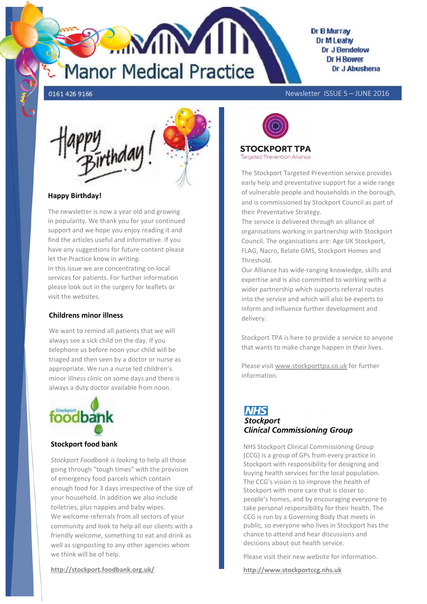

### **Dr B Murray** Dr M Leahy Dr J Bendelow Dr H Rower Dr J Abushena

0161 426 9166

Newsletter ISSUE 5 – JUNE 2016



## **Happy Birthday!**

The newsletter is now a year old and growing in popularity. We thank you for your continued support and we hope you enjoy reading it and find the articles useful and informative. If you have any suggestions for future content please let the Practice know in writing.

In this issue we are concentrating on local services for patients. For further information please look out in the surgery for leaflets or visit the websites.

## **Childrens minor illness**

We want to remind all patients that we will always see a sick child on the day. If you telephone us before noon your child will be triaged and then seen by a doctor or nurse as appropriate. We run a nurse led children's minor illness clinic on some days and there is always a duty doctor available from noon.



## **Stockport food bank**

*Stockport Foodbank is loo*king to help all those going through "tough times" with the provision of emergency food parcels which contain enough food for 3 days irrespective of the size of your household. In addition we also include toiletries, plus nappies and baby wipes. We welcome referrals from all sectors of your community and look to help all our clients with a friendly welcome, something to eat and drink as well as signposting to any other agencies whom we think will be of help.



**STOCKPORT TPA Targeted Prevention Alliance** 

The Stockport Targeted Prevention service provides early help and preventative support for a wide range of vulnerable people and households in the borough, and is commissioned by Stockport Council as part of their Preventative Strategy.

The service is delivered through an alliance of organisations working in partnership with Stockport Council. The organisations are: Age UK Stockport, FLAG, Nacro, Relate GMS, Stockport Homes and **Threshold** 

Our Alliance has wide-ranging knowledge, skills and expertise and is also committed to working with a wider partnership which supports referral routes into the service and which will also be experts to inform and influence further development and delivery.

Stockport TPA is here to provide a service to anyone that wants to make change happen in their lives.

Please visit [www.stockporttpa.co.uk](http://www.stockporttpa.co.uk/) for further information.

# **NHS Stockport Clinical Commissioning Group**

NHS Stockport Clinical Commissioning Group (CCG) is a group of GPs from every practice in Stockport with responsibility for designing and buying health services for the local population. The CCG's vision is to improve the health of Stockport with more care that is closer to people's homes, and by encouraging everyone to take personal responsibility for their health. The CCG is run by a Governing Body that meets in public, so everyone who lives in Stockport has the chance to attend and hear discussions and decisions about out health service.

Please visit their new website for information.

**http://www.stockportccg.nhs.uk**

**http://stockport.foodbank.org.uk/**